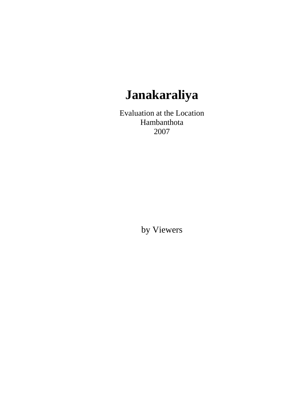# **Janakaraliya**

Evaluation at the Location Hambanthota 2007

by Viewers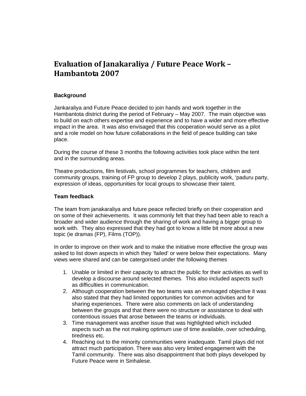# **Evaluation of Janakaraliya / Future Peace Work – Hambantota 2007**

## **Background**

Jankaraliya and Future Peace decided to join hands and work together in the Hambantota district during the period of February – May 2007. The main objective was to build on each others expertise and experience and to have a wider and more effective impact in the area. It was also envisaged that this cooperation would serve as a pilot and a role model on how future collaborations in the field of peace building can take place.

During the course of these 3 months the following activities took place within the tent and in the surrounding areas.

Theatre productions, film festivals, school programmes for teachers, children and community groups, training of FP group to develop 2 plays, publicity work, 'paduru party, expression of ideas, opportunities for local groups to showcase their talent.

#### **Team feedback**

The team from janakaraliya and future peace reflected briefly on their cooperation and on some of their achievements. It was commonly felt that they had been able to reach a broader and wider audience through the sharing of work and having a bigger group to work with. They also expressed that they had got to know a little bit more about a new topic (ie dramas (FP), Films (TOP)).

In order to improve on their work and to make the initiative more effective the group was asked to list down aspects in which they 'failed' or were below their expectations. Many views were shared and can be catergorised under the following themes

- 1. Unable or limited in their capacity to attract the public for their activities as well to develop a discourse around selected themes. This also included aspects such as difficulties in communication.
- 2. Although cooperation between the two teams was an envisaged objective it was also stated that they had limited opportunities for common activities and for sharing experiences. There were also comments on lack of understanding between the groups and that there were no structure or assistance to deal with contentious issues that arose between the teams or individuals.
- 3. Time management was another issue that was highlighted which included aspects such as the not making optimum use of time available, over scheduling, tiredness etc.
- 4. Reaching out to the minority communities were inadequate. Tamil plays did not attract much participation. There was also very limited engagement with the Tamil community. There was also disappointment that both plays developed by Future Peace were in Sinhalese.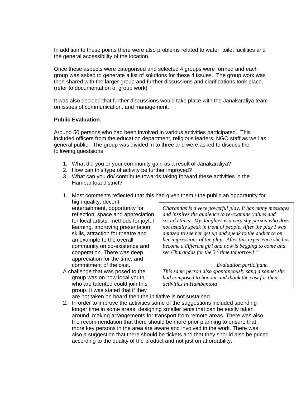In addition to these points there were also problems related to water, toilet facilities and the general accessibility of the location.

Once these aspects were categorised and selected 4 groups were formed and each group was asked to generate a list of solutions for these 4 issues. The group work was then shared with the larger group and further discussions and clarifications took place. (refer to documentation of group work)

It was also decided that further discussions would take place with the Janakaraliya team on issues of communication, and management.

### **Public Evaluation.**

Around 50 persons who had been involved in various activities participated. This included officers from the education department, religious leaders, NGO staff as well as general public. The group was divided in to three and were asked to discuss the following questsions.

- 1. What did you or your community gain as a result of Janakaraliya?
- 2. How can this type of activity be further improved?
- 3. What can you do/ contribute towards taking forward these activities in the Hambantota district?
- 1. Most comments reflected that this had given them / the public an opportunity for high quality, decent

entertainment, opportunity for reflection, space and appreciation for local artists, methods for joyful learning, improving presentation skills, attraction for theatre and an example to the overall community on co-existence and cooperation. There was deep appreciation for the time, and commitment of the cast.

A challenge that was posed to the group was on how local youth who are talented could join this group. It was stated that if they

*Charandas is a very powerful play. It has many messages and inspires the audience to re-examine values and social ethics. My daughter is a very shy person who does not usually speak in front of people. After the play I was amazed to see her get up and speak to the audience on her impressions of the play. After this experience she has become a different girl and now is begging to come and see Charandas for the 3rd time tomorrow! "* 

 *Evaluation participant. This same person also spontaneously sang a sonnet she had composed to honour and thank the cast for their activities in Hambantota* 

- are not taken on board then the initiative is not sustained.
- 2. In order to improve the activities some of the suggestions included spending longer time in some areas, designing smaller tents that can be easily taken around, making arrangements for transport from remote areas. There was also the recommendation that there should be more prior planning to ensure that more key persons in the area are aware and involved in the work. There was also a suggestion that there should be tickets and that they should also be priced according to the quality of the product and not just on affordability.